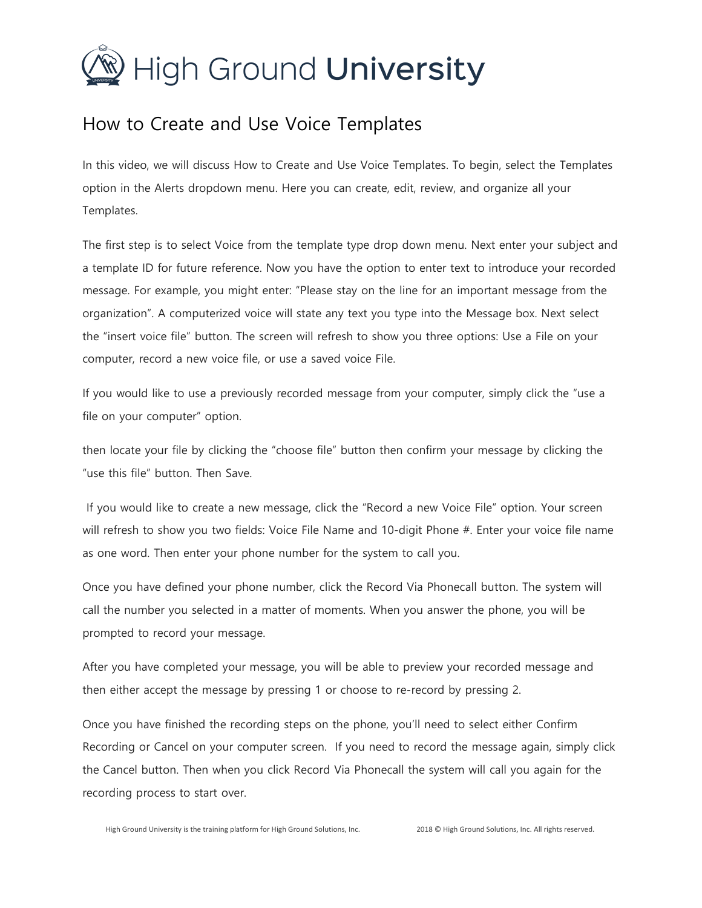## $\mathcal{D}$  High Ground **University**

## How to Create and Use Voice Templates

In this video, we will discuss How to Create and Use Voice Templates. To begin, select the Templates option in the Alerts dropdown menu. Here you can create, edit, review, and organize all your Templates.

The first step is to select Voice from the template type drop down menu. Next enter your subject and a template ID for future reference. Now you have the option to enter text to introduce your recorded message. For example, you might enter: "Please stay on the line for an important message from the organization". A computerized voice will state any text you type into the Message box. Next select the "insert voice file" button. The screen will refresh to show you three options: Use a File on your computer, record a new voice file, or use a saved voice File.

If you would like to use a previously recorded message from your computer, simply click the "use a file on your computer" option.

then locate your file by clicking the "choose file" button then confirm your message by clicking the "use this file" button. Then Save.

If you would like to create a new message, click the "Record a new Voice File" option. Your screen will refresh to show you two fields: Voice File Name and 10-digit Phone #. Enter your voice file name as one word. Then enter your phone number for the system to call you.

Once you have defined your phone number, click the Record Via Phonecall button. The system will call the number you selected in a matter of moments. When you answer the phone, you will be prompted to record your message.

After you have completed your message, you will be able to preview your recorded message and then either accept the message by pressing 1 or choose to re-record by pressing 2.

Once you have finished the recording steps on the phone, you'll need to select either Confirm Recording or Cancel on your computer screen. If you need to record the message again, simply click the Cancel button. Then when you click Record Via Phonecall the system will call you again for the recording process to start over.